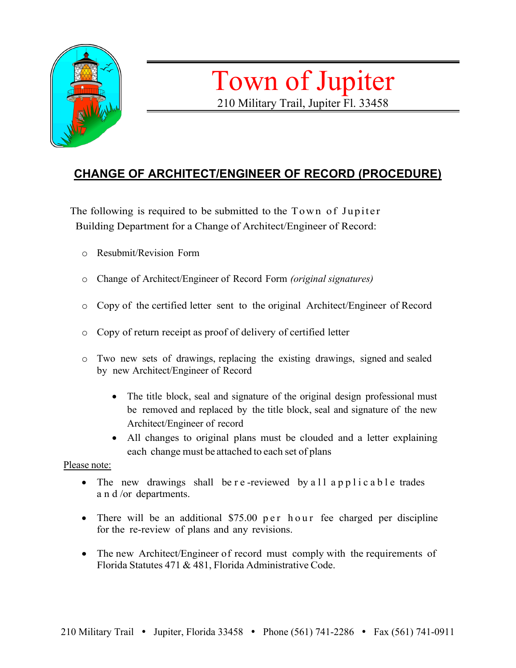

# Town of Jupiter 210 Military Trail, Jupiter Fl. 33458

## **CHANGE OF ARCHITECT/ENGINEER OF RECORD (PROCEDURE)**

The following is required to be submitted to the  $Town of Jupiter$ Building Department for a Change of Architect/Engineer of Record:

- o Resubmit/Revision Form
- o Change of Architect/Engineer of Record Form *(original signatures)*
- o Copy of the certified letter sent to the original Architect/Engineer of Record
- o Copy of return receipt as proof of delivery of certified letter
- o Two new sets of drawings, replacing the existing drawings, signed and sealed by new Architect/Engineer of Record
	- The title block, seal and signature of the original design professional must be removed and replaced by the title block, seal and signature of the new Architect/Engineer of record
	- All changes to original plans must be clouded and a letter explaining each change must be attached to each set of plans

Please note:

- The new drawings shall be r e-reviewed by all applicable trades a n d /or departments.
- There will be an additional \$75.00 p e r h o u r fee charged per discipline for the re-review of plans and any revisions.
- The new Architect/Engineer of record must comply with the requirements of Florida Statutes 471 & 481, Florida Administrative Code.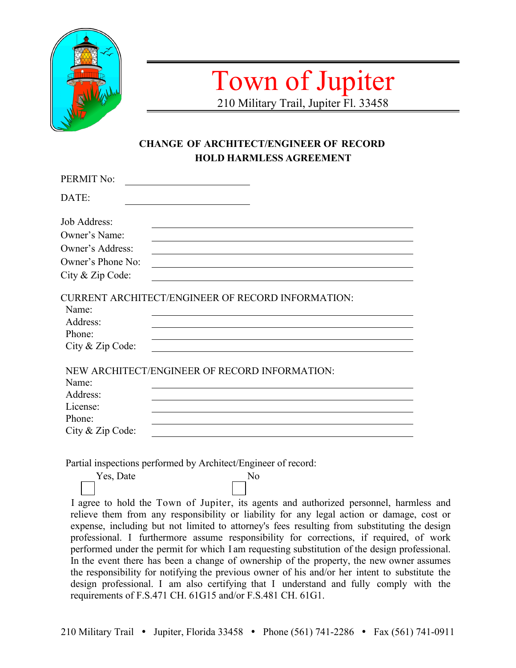

## Town of Jupiter 210 Military Trail, Jupiter Fl. 33458

**CHANGE OF ARCHITECT/ENGINEER OF RECORD HOLD HARMLESS AGREEMENT**

| PERMIT No:                                      |                                                          |
|-------------------------------------------------|----------------------------------------------------------|
| DATE:                                           |                                                          |
| Job Address:                                    |                                                          |
| Owner's Name:                                   |                                                          |
| Owner's Address:                                |                                                          |
| Owner's Phone No:                               |                                                          |
| City & Zip Code:                                |                                                          |
| Name:<br>Address:<br>Phone:<br>City & Zip Code: | <b>CURRENT ARCHITECT/ENGINEER OF RECORD INFORMATION:</b> |
|                                                 | NEW ARCHITECT/ENGINEER OF RECORD INFORMATION:            |
| Name:<br>Address:                               |                                                          |
| License:                                        |                                                          |
| Phone:                                          |                                                          |
| City & Zip Code:                                |                                                          |

Partial inspections performed by Architect/Engineer of record:

Yes, Date No

I agree to hold the Town of Jupiter, its agents and authorized personnel, harmless and relieve them from any responsibility or liability for any legal action or damage, cost or expense, including but not limited to attorney's fees resulting from substituting the design professional. I furthermore assume responsibility for corrections, if required, of work performed under the permit for which I am requesting substitution of the design professional. In the event there has been a change of ownership of the property, the new owner assumes the responsibility for notifying the previous owner of his and/or her intent to substitute the design professional. I am also certifying that I understand and fully comply with the requirements of F.S.471 CH. 61G15 and/or F.S.481 CH. 61G1.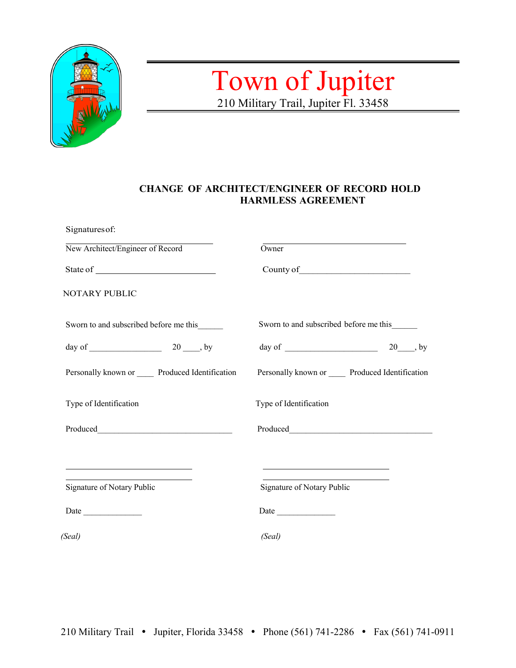

# Town of Jupiter 210 Military Trail, Jupiter Fl. 33458

#### **CHANGE OF ARCHITECT/ENGINEER OF RECORD HOLD HARMLESS AGREEMENT**

| Signatures of:                              |                                             |
|---------------------------------------------|---------------------------------------------|
| New Architect/Engineer of Record            | Owner                                       |
|                                             |                                             |
| NOTARY PUBLIC                               |                                             |
| Sworn to and subscribed before me this      | Sworn to and subscribed before me this      |
|                                             |                                             |
| Personally known or Produced Identification | Personally known or Produced Identification |
| Type of Identification                      | Type of Identification                      |
|                                             |                                             |
|                                             |                                             |
| Signature of Notary Public                  | Signature of Notary Public                  |
|                                             | Date                                        |
| (Seal)                                      | (Seal)                                      |
|                                             |                                             |